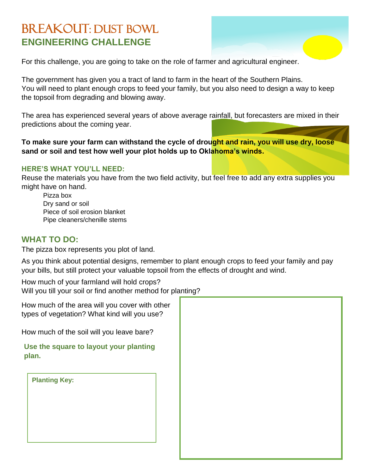## BREAKOUT: DUST BOWL **ENGINEERING CHALLENGE**



For this challenge, you are going to take on the role of farmer and agricultural engineer.

The government has given you a tract of land to farm in the heart of the Southern Plains. You will need to plant enough crops to feed your family, but you also need to design a way to keep the topsoil from degrading and blowing away.

The area has experienced several years of above average rainfall, but forecasters are mixed in their predictions about the coming year.

**To make sure your farm can withstand the cycle of drought and rain, you will use dry, loose sand or soil and test how well your plot holds up to Oklahoma's winds.**

## **HERE'S WHAT YOU'LL NEED:**

Reuse the materials you have from the two field activity, but feel free to add any extra supplies you might have on hand.

Pizza box Dry sand or soil Piece of soil erosion blanket Pipe cleaners/chenille stems

## **WHAT TO DO:**

The pizza box represents you plot of land.

As you think about potential designs, remember to plant enough crops to feed your family and pay your bills, but still protect your valuable topsoil from the effects of drought and wind.

How much of your farmland will hold crops? Will you till your soil or find another method for planting?

| How much of the area will you cover with other<br>types of vegetation? What kind will you use? |  |
|------------------------------------------------------------------------------------------------|--|
| How much of the soil will you leave bare?                                                      |  |
| Use the square to layout your planting<br>plan.                                                |  |
| <b>Planting Key:</b>                                                                           |  |
|                                                                                                |  |